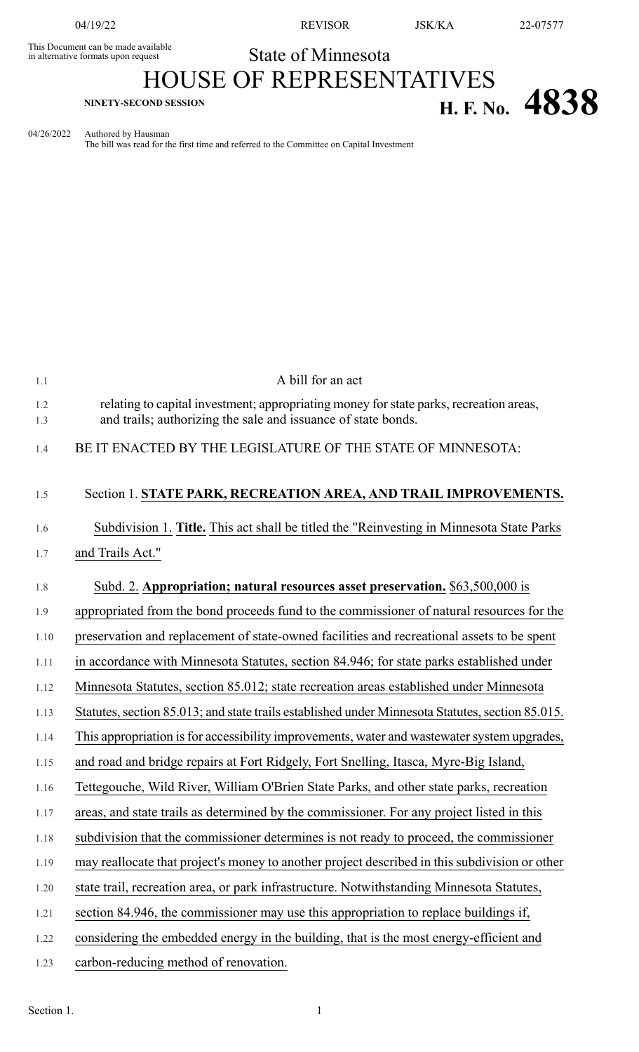This Document can be made available<br>in alternative formats upon request

04/19/22 REVISOR JSK/KA 22-07577

State of Minnesota

## HOUSE OF REPRESENTATIVES **H. F. No.**  $4838$

04/26/2022 Authored by Hausman

The bill was read for the first time and referred to the Committee on Capital Investment

| 1.1        | A bill for an act                                                                                                                                       |
|------------|---------------------------------------------------------------------------------------------------------------------------------------------------------|
| 1.2<br>1.3 | relating to capital investment; appropriating money for state parks, recreation areas,<br>and trails; authorizing the sale and issuance of state bonds. |
| 1.4        | BE IT ENACTED BY THE LEGISLATURE OF THE STATE OF MINNESOTA:                                                                                             |
| 1.5        | Section 1. STATE PARK, RECREATION AREA, AND TRAIL IMPROVEMENTS.                                                                                         |
| 1.6        | Subdivision 1. Title. This act shall be titled the "Reinvesting in Minnesota State Parks                                                                |
| 1.7        | and Trails Act."                                                                                                                                        |
| 1.8        | Subd. 2. Appropriation; natural resources asset preservation. \$63,500,000 is                                                                           |
| 1.9        | appropriated from the bond proceeds fund to the commissioner of natural resources for the                                                               |
| 1.10       | preservation and replacement of state-owned facilities and recreational assets to be spent                                                              |
| 1.11       | in accordance with Minnesota Statutes, section 84.946; for state parks established under                                                                |
| 1.12       | Minnesota Statutes, section 85.012; state recreation areas established under Minnesota                                                                  |
| 1.13       | Statutes, section 85.013; and state trails established under Minnesota Statutes, section 85.015.                                                        |
| 1.14       | This appropriation is for accessibility improvements, water and wastewater system upgrades,                                                             |
| 1.15       | and road and bridge repairs at Fort Ridgely, Fort Snelling, Itasca, Myre-Big Island,                                                                    |
| 1.16       | Tettegouche, Wild River, William O'Brien State Parks, and other state parks, recreation                                                                 |
| 1.17       | areas, and state trails as determined by the commissioner. For any project listed in this                                                               |
| 1.18       | subdivision that the commissioner determines is not ready to proceed, the commissioner                                                                  |
| 1.19       | may reallocate that project's money to another project described in this subdivision or other                                                           |
| 1.20       | state trail, recreation area, or park infrastructure. Notwithstanding Minnesota Statutes,                                                               |
| 1.21       | section 84.946, the commissioner may use this appropriation to replace buildings if,                                                                    |
| 1.22       | considering the embedded energy in the building, that is the most energy-efficient and                                                                  |
| 1.23       | carbon-reducing method of renovation.                                                                                                                   |
|            |                                                                                                                                                         |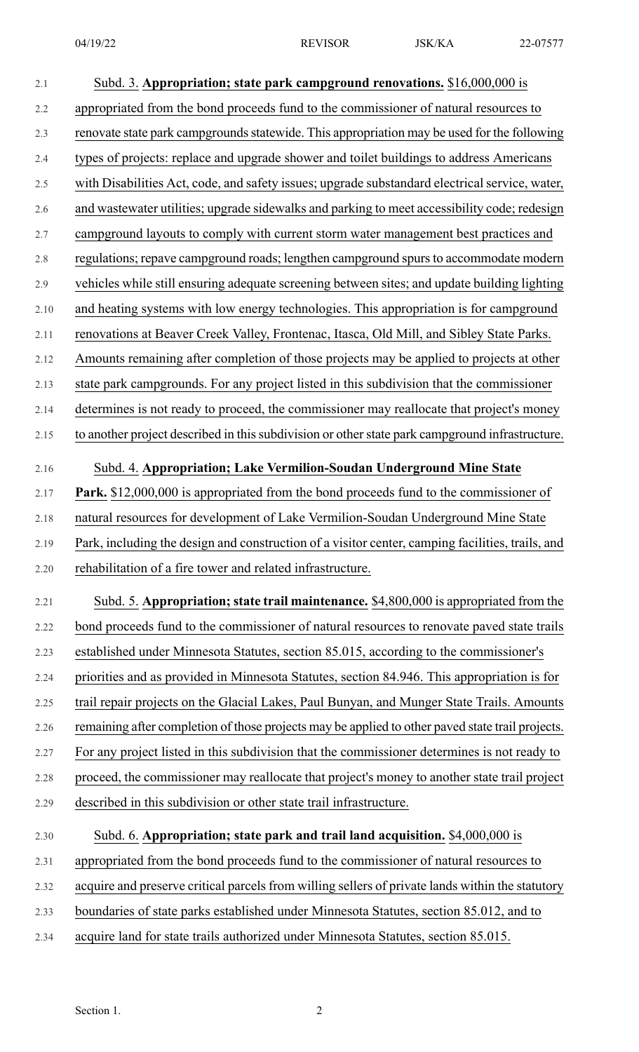| 2.1     | Subd. 3. Appropriation; state park campground renovations. \$16,000,000 is                       |
|---------|--------------------------------------------------------------------------------------------------|
| 2.2     | appropriated from the bond proceeds fund to the commissioner of natural resources to             |
| 2.3     | renovate state park campgrounds statewide. This appropriation may be used for the following      |
| 2.4     | types of projects: replace and upgrade shower and toilet buildings to address Americans          |
| $2.5$   | with Disabilities Act, code, and safety issues; upgrade substandard electrical service, water,   |
| 2.6     | and wastewater utilities; upgrade sidewalks and parking to meet accessibility code; redesign     |
| 2.7     | campground layouts to comply with current storm water management best practices and              |
| $2.8\,$ | regulations; repave campground roads; lengthen campground spurs to accommodate modern            |
| 2.9     | vehicles while still ensuring adequate screening between sites; and update building lighting     |
| 2.10    | and heating systems with low energy technologies. This appropriation is for campground           |
| 2.11    | renovations at Beaver Creek Valley, Frontenac, Itasca, Old Mill, and Sibley State Parks.         |
| 2.12    | Amounts remaining after completion of those projects may be applied to projects at other         |
| 2.13    | state park campgrounds. For any project listed in this subdivision that the commissioner         |
| 2.14    | determines is not ready to proceed, the commissioner may reallocate that project's money         |
| 2.15    | to another project described in this subdivision or other state park campground infrastructure.  |
| 2.16    | Subd. 4. Appropriation; Lake Vermilion-Soudan Underground Mine State                             |
| 2.17    | Park. \$12,000,000 is appropriated from the bond proceeds fund to the commissioner of            |
| 2.18    | natural resources for development of Lake Vermilion-Soudan Underground Mine State                |
| 2.19    | Park, including the design and construction of a visitor center, camping facilities, trails, and |
| 2.20    | rehabilitation of a fire tower and related infrastructure.                                       |
| 2.21    | Subd. 5. Appropriation; state trail maintenance. \$4,800,000 is appropriated from the            |
| 2.22    | bond proceeds fund to the commissioner of natural resources to renovate paved state trails       |
| 2.23    | established under Minnesota Statutes, section 85.015, according to the commissioner's            |
| 2.24    | priorities and as provided in Minnesota Statutes, section 84.946. This appropriation is for      |
| 2.25    | trail repair projects on the Glacial Lakes, Paul Bunyan, and Munger State Trails. Amounts        |
| 2.26    | remaining after completion of those projects may be applied to other paved state trail projects. |
| 2.27    | For any project listed in this subdivision that the commissioner determines is not ready to      |
| 2.28    | proceed, the commissioner may reallocate that project's money to another state trail project     |
| 2.29    | described in this subdivision or other state trail infrastructure.                               |
| 2.30    | Subd. 6. Appropriation; state park and trail land acquisition. \$4,000,000 is                    |
| 2.31    | appropriated from the bond proceeds fund to the commissioner of natural resources to             |
| 2.32    | acquire and preserve critical parcels from willing sellers of private lands within the statutory |
| 2.33    | boundaries of state parks established under Minnesota Statutes, section 85.012, and to           |
| 2.34    | acquire land for state trails authorized under Minnesota Statutes, section 85.015.               |